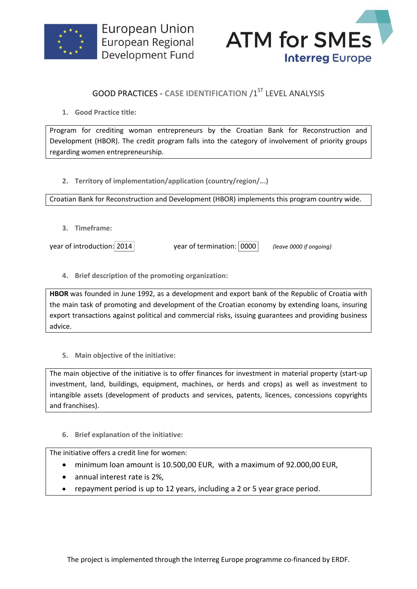



## **GOOD PRACTICES - CASE IDENTIFICATION /1ST LEVEL ANALYSIS**

**1. Good Practice title:**

Program for crediting woman entrepreneurs by the Croatian Bank for Reconstruction and Development (HBOR). The credit program falls into the category of involvement of priority groups regarding women entrepreneurship.

**2. Territory of implementation/application (country/region/...)**

Croatian Bank for Reconstruction and Development (HBOR) implements this program country wide.

**3. Timeframe:**

year of introduction: 2014 year of termination: 0000 *(leave 0000 if ongoing)*

**4. Brief description of the promoting organization:**

**HBOR** was founded in June 1992, as a development and export bank of the Republic of Croatia with the main task of promoting and development of the Croatian economy by extending loans, insuring export transactions against political and commercial risks, issuing guarantees and providing business advice.

**5. Main objective of the initiative:**

The main objective of the initiative is to offer finances for investment in material property (start-up investment, land, buildings, equipment, machines, or herds and crops) as well as investment to intangible assets (development of products and services, patents, licences, concessions copyrights and franchises).

**6. Brief explanation of the initiative:**

The initiative offers a credit line for women:

- minimum loan amount is 10.500,00 EUR, with a maximum of 92.000,00 EUR,
- annual interest rate is 2%,
- repayment period is up to 12 years, including a 2 or 5 year grace period.